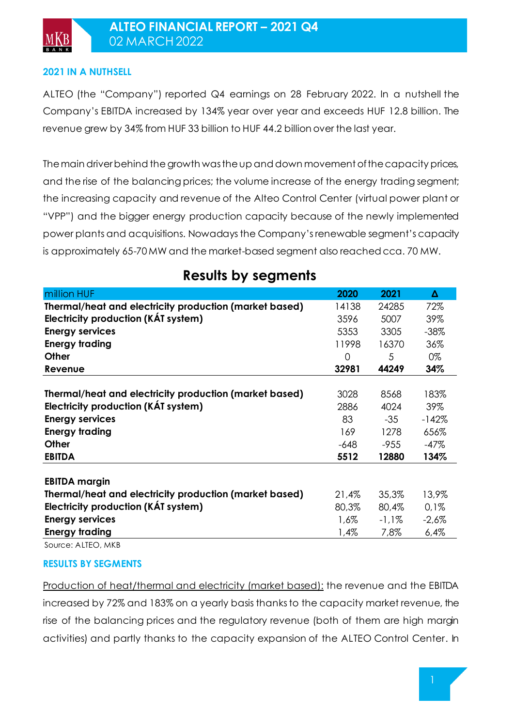### **2021 IN A NUTHSELL**

ALTEO (the "Company") reported Q4 earnings on 28 February 2022. In a nutshell the Company's EBITDA increased by 134% year over year and exceeds HUF 12.8 billion. The revenue grew by 34% from HUF 33 billion to HUF 44.2 billion over the last year.

The main driver behind the growth was the up and down movement of the capacity prices, and the rise of the balancing prices; the volume increase of the energy trading segment; the increasing capacity and revenue of the Alteo Control Center (virtual power plant or "VPP") and the bigger energy production capacity because of the newly implemented power plants and acquisitions. Nowadays the Company's renewable segment's capacity is approximately 65-70 MW and the market-based segment also reached cca. 70 MW.

| million HUF                                            | 2020    | 2021     | Δ       |
|--------------------------------------------------------|---------|----------|---------|
| Thermal/heat and electricity production (market based) | 14138   | 24285    | 72%     |
| Electricity production (KAT system)                    | 3596    | 5007     | 39%     |
| <b>Energy services</b>                                 | 5353    | 3305     | $-38%$  |
| <b>Energy trading</b>                                  | 11998   | 16370    | 36%     |
| <b>Other</b>                                           | 0       | 5        | 0%      |
| Revenue                                                | 32981   | 44249    | 34%     |
|                                                        |         |          |         |
| Thermal/heat and electricity production (market based) | 3028    | 8568     | 183%    |
| Electricity production (KAT system)                    | 2886    | 4024     | 39%     |
| <b>Energy services</b>                                 | 83      | $-35$    | $-142%$ |
| <b>Energy trading</b>                                  | 169     | 1278     | 656%    |
| <b>Other</b>                                           | $-648$  | $-955$   | $-47%$  |
| <b>EBITDA</b>                                          | 5512    | 12880    | 134%    |
|                                                        |         |          |         |
| <b>EBITDA margin</b>                                   |         |          |         |
| Thermal/heat and electricity production (market based) | 21,4%   | 35,3%    | 13,9%   |
| Electricity production (KAT system)                    | 80,3%   | 80,4%    | 0,1%    |
| <b>Energy services</b>                                 | $1,6\%$ | $-1,1\%$ | $-2,6%$ |
| <b>Energy trading</b>                                  | 1,4%    | 7,8%     | 6,4%    |

**Results by segments**

Source: ALTEO, MKB

### **RESULTS BY SEGMENTS**

Production of heat/thermal and electricity (market based): the revenue and the EBITDA increased by 72% and 183% on a yearly basis thanks to the capacity market revenue, the rise of the balancing prices and the regulatory revenue (both of them are high margin activities) and partly thanks to the capacity expansion of the ALTEO Control Center. In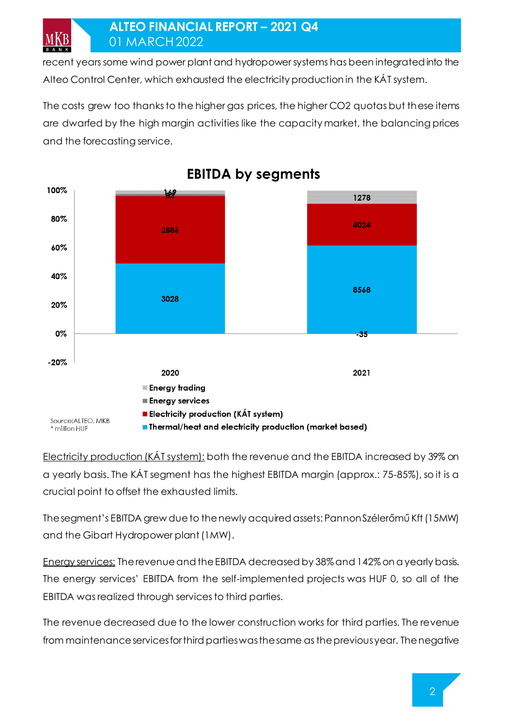MKB

recent years some wind power plant and hydropower systems has been integrated into the Alteo Control Center, which exhausted the electricity production in the KÁT system.

The costs grew too thanks to the higher gas prices, the higher CO2 quotas but these items are dwarfed by the high margin activities like the capacity market, the balancing prices and the forecasting service.



**EBITDA by segments** 

Electricity production (KAT system): both the revenue and the EBITDA increased by 39% on a yearly basis. The KÁT segment has the highest EBITDA margin (approx.: 75-85%), so it is a crucial point to offset the exhausted limits.

The segment's EBITDA grew due to the newly acquired assets: Pannon Szélerőmű Kft (15MW) and the Gibart Hydropower plant (1MW).

Energy services: The revenue and the EBITDA decreased by 38% and 142% on a yearly basis. The energy services' EBITDA from the self-implemented projects was HUF 0, so all of the EBITDA was realized through services to third parties.

The revenue decreased due to the lower construction works for third parties. The revenue from maintenance services for third parties was the same as the previous year. The negative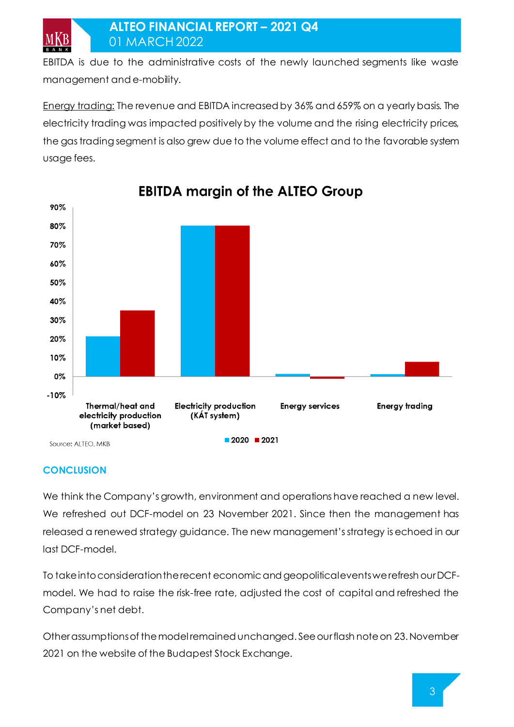EBITDA is due to the administrative costs of the newly launched segments like waste management and e-mobility.

Energy trading: The revenue and EBITDA increased by 36% and 659% on a yearly basis. The electricity trading was impacted positively by the volume and the rising electricity prices, the gas trading segment is also grew due to the volume effect and to the favorable system usage fees.



# **EBITDA margin of the ALTEO Group**

## **CONCLUSION**

MKB

We think the Company's growth, environment and operations have reached a new level. We refreshed out DCF-model on 23 November 2021. Since then the management has released a renewed strategy guidance. The new management's strategy is echoed in our last DCF-model.

To take into consideration the recent economic and geopolitical events we refresh our DCFmodel. We had to raise the risk-free rate, adjusted the cost of capital and refreshed the Company's net debt.

Other assumptions of the model remained unchanged. See our flash note on 23. November 2021 on the website of the Budapest Stock Exchange.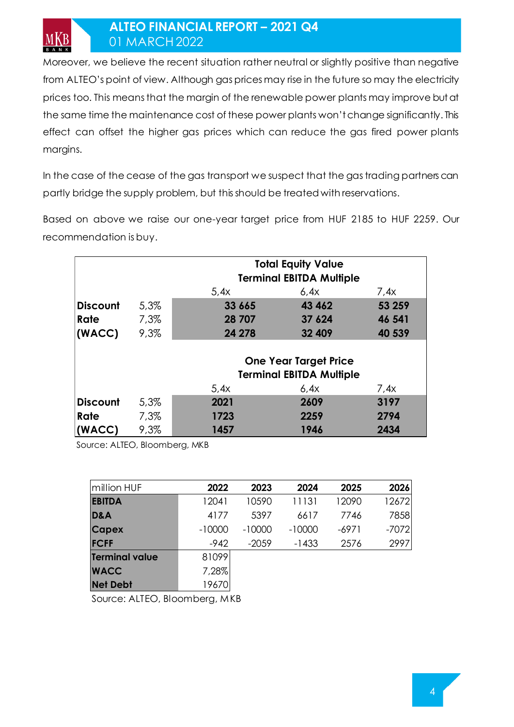# **ALTEO FINANCIAL REPORT – 2021 Q4** 01 MARCH2022

Moreover, we believe the recent situation rather neutral or slightly positive than negative from ALTEO's point of view. Although gas prices may rise in the future so may the electricity prices too. This means that the margin of the renewable power plants may improve but at the same time the maintenance cost of these power plants won't change significantly. This effect can offset the higher gas prices which can reduce the gas fired power plants margins.

In the case of the cease of the gas transport we suspect that the gas trading partners can partly bridge the supply problem, but this should be treated with reservations.

Based on above we raise our one-year target price from HUF 2185 to HUF 2259. Our recommendation is buy.

|                 |         | <b>Total Equity Value</b>                                       |        |        |  |  |  |
|-----------------|---------|-----------------------------------------------------------------|--------|--------|--|--|--|
|                 |         | <b>Terminal EBITDA Multiple</b><br>6.4x<br>5.4x<br>7,4x         |        |        |  |  |  |
| <b>Discount</b> | 5,3%    | 33 665                                                          | 43 462 | 53 259 |  |  |  |
| Rate            | $7,3\%$ | 28 707                                                          | 37 624 | 46 541 |  |  |  |
| (WACC)          | 9,3%    | 24 278                                                          | 32 409 | 40 539 |  |  |  |
|                 |         | <b>One Year Target Price</b><br><b>Terminal EBITDA Multiple</b> |        |        |  |  |  |
|                 |         | 5,4x                                                            | 6,4x   | 7,4x   |  |  |  |
| <b>Discount</b> | 5,3%    | 2021                                                            | 2609   | 3197   |  |  |  |
| Rate            | 7,3%    | 1723                                                            | 2259   | 2794   |  |  |  |
| (WACC)          | 9,3%    | 1457                                                            | 1946   | 2434   |  |  |  |

Source: ALTEO, Bloomberg, MKB

| million HUF           | 2022     | 2023     | 2024     | 2025    | 2026    |
|-----------------------|----------|----------|----------|---------|---------|
| <b>EBITDA</b>         | 12041    | 10590    | 11131    | 12090   | 12672   |
| <b>D&amp;A</b>        | 4177     | 5397     | 6617     | 7746    | 7858    |
| <b>Capex</b>          | $-10000$ | $-10000$ | $-10000$ | $-6971$ | $-7072$ |
| <b>FCFF</b>           | $-942$   | $-2059$  | $-1433$  | 2576    | 2997    |
| <b>Terminal value</b> | 81099    |          |          |         |         |
| <b>WACC</b>           | 7,28%    |          |          |         |         |
| <b>Net Debt</b>       | 19670    |          |          |         |         |

Source: ALTEO, Bloomberg, MKB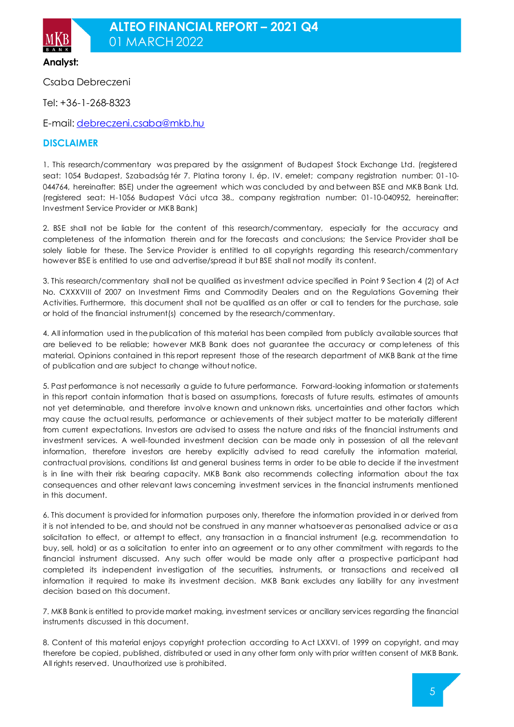

**Analyst:**

Csaba Debreczeni

Tel: +36-1-268-8323

E-mail[: debreczeni.csaba@mkb.hu](mailto:debreczeni.csaba@mkb.hu)

### **DISCLAIMER**

1. This research/commentary was prepared by the assignment of Budapest Stock Exchange Ltd. (registered seat: 1054 Budapest, Szabadság tér 7. Platina torony I. ép. IV. emelet; company registration number: 01-10- 044764, hereinafter: BSE) under the agreement which was concluded by and between BSE and MKB Bank Ltd. (registered seat: H-1056 Budapest Váci utca 38., company registration number: 01-10-040952, hereinafter: Investment Service Provider or MKB Bank)

2. BSE shall not be liable for the content of this research/commentary, especially for the accuracy and completeness of the information therein and for the forecasts and conclusions; the Service Provider shall be solely liable for these. The Service Provider is entitled to all copyrights regarding this research/commentary however BSE is entitled to use and advertise/spread it but BSE shall not modify its content.

3. This research/commentary shall not be qualified as investment advice specified in Point 9 Section 4 (2) of Act No. CXXXVIII of 2007 on Investment Firms and Commodity Dealers and on the Regulations Governing their Activities. Furthermore, this document shall not be qualified as an offer or call to tenders for the purchase, sale or hold of the financial instrument(s) concerned by the research/commentary.

4. All information used in the publication of this material has been compiled from publicly available sources that are believed to be reliable; however MKB Bank does not guarantee the accuracy or completeness of this material. Opinions contained in this report represent those of the research department of MKB Bank at the time of publication and are subject to change without notice.

5. Past performance is not necessarily a guide to future performance. Forward-looking information or statements in this report contain information that is based on assumptions, forecasts of future results, estimates of amounts not yet determinable, and therefore involve known and unknown risks, uncertainties and other factors which may cause the actual results, performance or achievements of their subject matter to be materially different from current expectations. Investors are advised to assess the nature and risks of the financial instruments and investment services. A well-founded investment decision can be made only in possession of all the relevant information, therefore investors are hereby explicitly advised to read carefully the information material, contractual provisions, conditions list and general business terms in order to be able to decide if the investment is in line with their risk bearing capacity. MKB Bank also recommends collecting information about the tax consequences and other relevant laws concerning investment services in the financial instruments mentioned in this document.

6. This document is provided for information purposes only, therefore the information provided in or derived from it is not intended to be, and should not be construed in any manner whatsoever as personalised advice or as a solicitation to effect, or attempt to effect, any transaction in a financial instrument (e.g. recommendation to buy, sell, hold) or as a solicitation to enter into an agreement or to any other commitment with regards to the financial instrument discussed. Any such offer would be made only after a prospective participant had completed its independent investigation of the securities, instruments, or transactions and received all information it required to make its investment decision. MKB Bank excludes any liability for any investment decision based on this document.

7. MKB Bank is entitled to provide market making, investment services or ancillary services regarding the financial instruments discussed in this document.

8. Content of this material enjoys copyright protection according to Act LXXVI. of 1999 on copyright, and may therefore be copied, published, distributed or used in any other form only with prior written consent of MKB Bank. All rights reserved. Unauthorized use is prohibited.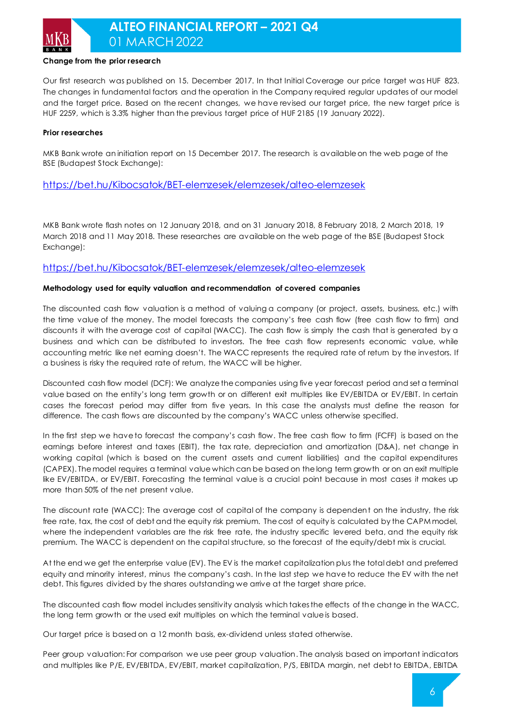

## **ALTEO FINANCIAL REPORT – 2021 Q4** 01 MARCH2022

#### **Change from the prior research**

Our first research was published on 15. December 2017. In that Initial Coverage our price target was HUF 823. The changes in fundamental factors and the operation in the Company required regular updates of our model and the target price. Based on the recent changes, we have revised our target price, the new target price is HUF 2259, which is 3.3% higher than the previous target price of HUF 2185 (19 January 2022).

#### **Prior researches**

MKB Bank wrote an initiation report on 15 December 2017. The research is available on the web page of the BSE (Budapest Stock Exchange):

#### <https://bet.hu/Kibocsatok/BET-elemzesek/elemzesek/alteo-elemzesek>

MKB Bank wrote flash notes on 12 January 2018, and on 31 January 2018, 8 February 2018, 2 March 2018, 19 March 2018 and 11 May 2018. These researches are available on the web page of the BSE (Budapest Stock Exchange):

#### <https://bet.hu/Kibocsatok/BET-elemzesek/elemzesek/alteo-elemzesek>

#### **Methodology used for equity valuation and recommendation of covered companies**

The discounted cash flow valuation is a method of valuing a company (or project, assets, business, etc.) with the time value of the money. The model forecasts the company's free cash flow (free cash flow to firm) and discounts it with the average cost of capital (WACC). The cash flow is simply the cash that is generated by a business and which can be distributed to investors. The free cash flow represents economic value, while accounting metric like net earning doesn't. The WACC represents the required rate of return by the investors. If a business is risky the required rate of return, the WACC will be higher.

Discounted cash flow model (DCF): We analyze the companies using five year forecast period and set a terminal value based on the entity's long term growth or on different exit multiples like EV/EBITDA or EV/EBIT. In certain cases the forecast period may differ from five years. In this case the analysts must define the reason for difference. The cash flows are discounted by the company's WACC unless otherwise specified.

In the first step we have to forecast the company's cash flow. The free cash flow to firm (FCFF) is based on the earnings before interest and taxes (EBIT), the tax rate, depreciation and amortization (D&A), net change in working capital (which is based on the current assets and current liabilities) and the capital expenditures (CAPEX). The model requires a terminal value which can be based on the long term growth or on an exit multiple like EV/EBITDA, or EV/EBIT. Forecasting the terminal value is a crucial point because in most cases it makes up more than 50% of the net present value.

The discount rate (WACC): The average cost of capital of the company is dependent on the industry, the risk free rate, tax, the cost of debt and the equity risk premium. The cost of equity is calculated by the CAPM model, where the independent variables are the risk free rate, the industry specific levered beta, and the equity risk premium. The WACC is dependent on the capital structure, so the forecast of the equity/debt mix is crucial.

At the end we get the enterprise value (EV). The EV is the market capitalization plus the total debt and preferred equity and minority interest, minus the company's cash. In the last step we have to reduce the EV with the net debt. This figures divided by the shares outstanding we arrive at the target share price.

The discounted cash flow model includes sensitivity analysis which takes the effects of the change in the WACC, the long term growth or the used exit multiples on which the terminal value is based.

Our target price is based on a 12 month basis, ex-dividend unless stated otherwise.

Peer group valuation: For comparison we use peer group valuation. The analysis based on important indicators and multiples like P/E, EV/EBITDA, EV/EBIT, market capitalization, P/S, EBITDA margin, net debt to EBITDA, EBITDA